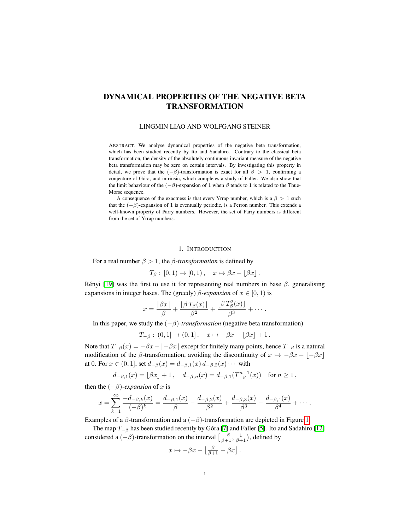# DYNAMICAL PROPERTIES OF THE NEGATIVE BETA TRANSFORMATION

## LINGMIN LIAO AND WOLFGANG STEINER

ABSTRACT. We analyse dynamical properties of the negative beta transformation, which has been studied recently by Ito and Sadahiro. Contrary to the classical beta transformation, the density of the absolutely continuous invariant measure of the negative beta transformation may be zero on certain intervals. By investigating this property in detail, we prove that the  $(-\beta)$ -transformation is exact for all  $\beta > 1$ , confirming a conjecture of Gora, and intrinsic, which completes a study of Faller. We also show that ´ the limit behaviour of the  $(-\beta)$ -expansion of 1 when  $\beta$  tends to 1 is related to the Thue-Morse sequence.

A consequence of the exactness is that every Yrrap number, which is a  $\beta > 1$  such that the  $(-\beta)$ -expansion of 1 is eventually periodic, is a Perron number. This extends a well-known property of Parry numbers. However, the set of Parry numbers is different from the set of Yrrap numbers.

#### 1. INTRODUCTION

For a real number  $\beta > 1$ , the  $\beta$ -transformation is defined by

$$
T_{\beta} : [0,1) \to [0,1), \quad x \mapsto \beta x - \lfloor \beta x \rfloor.
$$

Rényi [\[19\]](#page-17-0) was the first to use it for representing real numbers in base  $\beta$ , generalising expansions in integer bases. The (greedy)  $\beta$ -expansion of  $x \in [0, 1)$  is

$$
x = \frac{\lfloor \beta x \rfloor}{\beta} + \frac{\lfloor \beta T_{\beta}(x) \rfloor}{\beta^2} + \frac{\lfloor \beta T_{\beta}^2(x) \rfloor}{\beta^3} + \cdots
$$

In this paper, we study the  $(-\beta)$ -*transformation* (negative beta transformation)

$$
T_{-\beta}
$$
: (0, 1]  $\to$  (0, 1],  $x \mapsto -\beta x + [\beta x] + 1$ .

Note that  $T_{-\beta}(x) = -\beta x - \beta x$  except for finitely many points, hence  $T_{-\beta}$  is a natural modification of the  $\beta$ -transformation, avoiding the discontinuity of  $x \mapsto -\beta x - |-\beta x|$ at 0. For  $x \in (0,1]$ , set  $d_{-\beta}(x) = d_{-\beta,1}(x) d_{-\beta,2}(x) \cdots$  with

$$
d_{-\beta,1}(x) = \lfloor \beta x \rfloor + 1
$$
,  $d_{-\beta,n}(x) = d_{-\beta,1}(T_{-\beta}^{n-1}(x))$  for  $n \ge 1$ ,

then the  $(-\beta)$ *-expansion* of x is

$$
x = \sum_{k=1}^{\infty} \frac{-d_{-\beta,k}(x)}{(-\beta)^k} = \frac{d_{-\beta,1}(x)}{\beta} - \frac{d_{-\beta,2}(x)}{\beta^2} + \frac{d_{-\beta,3}(x)}{\beta^3} - \frac{d_{-\beta,4}(x)}{\beta^4} + \cdots
$$

Examples of a  $\beta$ -transformation and a  $(-\beta)$ -transformation are depicted in Figure [1.](#page-1-0)

The map  $T_{-\beta}$  has been studied recently by Góra [\[7\]](#page-16-0) and Faller [\[5\]](#page-16-1). Ito and Sadahiro [\[12\]](#page-17-1) considered a  $(-\beta)$ -transformation on the interval  $\left[\frac{-\beta}{\beta+1}, \frac{1}{\beta+1}\right)$ , defined by

$$
x \mapsto -\beta x - \left\lfloor \frac{\beta}{\beta+1} - \beta x \right\rfloor.
$$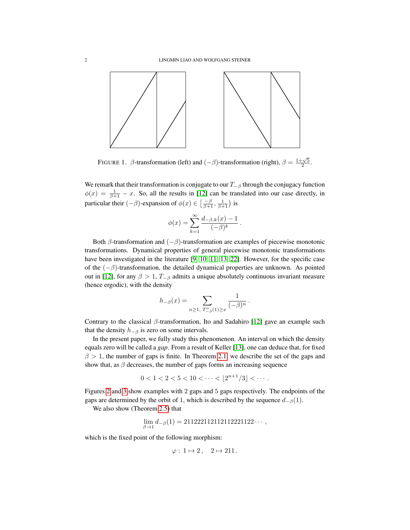

<span id="page-1-0"></span>FIGURE 1.  $\beta$ -transformation (left) and  $(-\beta)$ -transformation (right),  $\beta = \frac{1+\sqrt{5}}{2}$ .

We remark that their transformation is conjugate to our  $T_{-\beta}$  through the conjugacy function  $\phi(x) = \frac{1}{\beta + 1} - x$ . So, all the results in [\[12\]](#page-17-1) can be translated into our case directly, in particular their  $(-\beta)$ -expansion of  $\phi(x) \in \left[\frac{-\beta}{\beta+1}, \frac{1}{\beta+1}\right)$  is

$$
\phi(x) = \sum_{k=1}^{\infty} \frac{d_{-\beta,k}(x) - 1}{(-\beta)^k} \, .
$$

Both  $\beta$ -transformation and  $(-\beta)$ -transformation are examples of piecewise monotonic transformations. Dynamical properties of general piecewise monotonic transformations have been investigated in the literature [\[9,](#page-16-2) [10,](#page-17-2) [11,](#page-17-3) [13,](#page-17-4) [22\]](#page-17-5). However, for the specific case of the  $(-\beta)$ -transformation, the detailed dynamical properties are unknown. As pointed out in [\[12\]](#page-17-1), for any  $\beta > 1$ ,  $T_{-\beta}$  admits a unique absolutely continuous invariant measure (hence ergodic), with the density

$$
h_{-\beta}(x) = \sum_{n \geq 1, T_{-\beta}^n(1) \geq x} \frac{1}{(-\beta)^n}.
$$

Contrary to the classical  $\beta$ -transformation, Ito and Sadahiro [\[12\]](#page-17-1) gave an example such that the density  $h_{-\beta}$  is zero on some intervals.

In the present paper, we fully study this phenomenon. An interval on which the density equals zero will be called a *gap*. From a result of Keller [\[13\]](#page-17-4), one can deduce that, for fixed  $\beta > 1$ , the number of gaps is finite. In Theorem [2.1,](#page-3-0) we describe the set of the gaps and show that, as  $\beta$  decreases, the number of gaps forms an increasing sequence

$$
0 < 1 < 2 < 5 < 10 < \cdots < \lfloor 2^{n+1}/3 \rfloor < \cdots
$$

Figures [2](#page-9-0) and [3](#page-10-0) show examples with 2 gaps and 5 gaps respectively. The endpoints of the gaps are determined by the orbit of 1, which is described by the sequence  $d_{-\beta}(1)$ .

We also show (Theorem [2.5\)](#page-3-1) that

$$
\lim_{\beta \to 1} d_{-\beta}(1) = 211222112112112221122 \cdots,
$$

which is the fixed point of the following morphism:

$$
\varphi: 1 \mapsto 2, \quad 2 \mapsto 211.
$$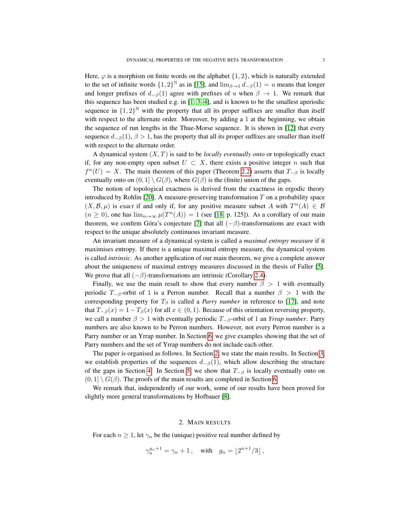Here,  $\varphi$  is a morphism on finite words on the alphabet  $\{1, 2\}$ , which is naturally extended to the set of infinite words  $\{1,2\}^{\mathbb{N}}$  as in [\[15\]](#page-17-6), and  $\lim_{\beta\to 1} d_{-\beta}(1) = u$  means that longer and longer prefixes of  $d_{-\beta}(1)$  agree with prefixes of u when  $\beta \rightarrow 1$ . We remark that this sequence has been studied e.g. in [\[1,](#page-16-3) [3,](#page-16-4) [4\]](#page-16-5), and is known to be the smallest aperiodic sequence in  $\{1,2\}^{\mathbb{N}}$  with the property that all its proper suffixes are smaller than itself with respect to the alternate order. Moreover, by adding a 1 at the beginning, we obtain the sequence of run lengths in the Thue-Morse sequence. It is shown in [\[12\]](#page-17-1) that every sequence  $d_{-\beta}(1)$ ,  $\beta > 1$ , has the property that all its proper suffixes are smaller than itself with respect to the alternate order.

A dynamical system (X, T) is said to be *locally eventually onto* or topologically exact if, for any non-empty open subset  $U \subset X$ , there exists a positive integer n such that  $f<sup>n</sup>(U) = X$ . The main theorem of this paper (Theorem [2.2\)](#page-3-2) asserts that  $T<sub>−β</sub>$  is locally eventually onto on  $(0, 1] \setminus G(\beta)$ , where  $G(\beta)$  is the (finite) union of the gaps.

The notion of topological exactness is derived from the exactness in ergodic theory introduced by Rohlin  $[20]$ . A measure-preserving transformation  $T$  on a probability space  $(X, \mathcal{B}, \mu)$  is *exact* if and only if, for any positive measure subset A with  $T^n(A) \in \mathcal{B}$  $(n \ge 0)$ , one has  $\lim_{n \to \infty} \mu(T^n(A)) = 1$  (see [\[18,](#page-17-8) p. 125]). As a corollary of our main theorem, we confirm Góra's conjecture [\[7\]](#page-16-0) that all  $(-\beta)$ -transformations are exact with respect to the unique absolutely continuous invariant measure.

An invariant measure of a dynamical system is called a *maximal entropy measure* if it maximises entropy. If there is a unique maximal entropy measure, the dynamical system is called *intrinsic*. As another application of our main theorem, we give a complete answer about the uniqueness of maximal entropy measures discussed in the thesis of Faller [\[5\]](#page-16-1). We prove that all  $(-\beta)$ -transformations are intrinsic (Corollary [2.4\)](#page-3-3).

Finally, we use the main result to show that every number  $\beta > 1$  with eventually periodic  $T_{-\beta}$ -orbit of 1 is a Perron number. Recall that a number  $\beta > 1$  with the corresponding property for  $T_\beta$  is called a *Parry number* in reference to [\[17\]](#page-17-9), and note that  $T_{-\beta}(x) = 1 - T_{\beta}(x)$  for all  $x \in (0,1)$ . Because of this orientation reversing property, we call a number  $\beta > 1$  with eventually periodic  $T_{-\beta}$ -orbit of 1 an *Yrrap number*. Parry numbers are also known to be Perron numbers. However, not every Perron number is a Parry number or an Yrrap number. In Section [6,](#page-15-0) we give examples showing that the set of Parry numbers and the set of Yrrap numbers do not include each other.

The paper is organised as follows. In Section [2,](#page-2-0) we state the main results. In Section [3,](#page-4-0) we establish properties of the sequences  $d_{-\beta}(1)$ , which allow describing the structure of the gaps in Section [4.](#page-8-0) In Section [5,](#page-12-0) we show that  $T_{-\beta}$  is locally eventually onto on  $(0, 1] \setminus G(\beta)$ . The proofs of the main results are completed in Section [6.](#page-15-0)

We remark that, independently of our work, some of our results have been proved for slightly more general transformations by Hofbauer [\[8\]](#page-16-6).

# 2. MAIN RESULTS

<span id="page-2-0"></span>For each  $n \geq 1$ , let  $\gamma_n$  be the (unique) positive real number defined by

$$
\gamma_n^{g_n+1} = \gamma_n + 1 \,, \quad \text{with} \quad g_n = \lfloor 2^{n+1}/3 \rfloor \,,
$$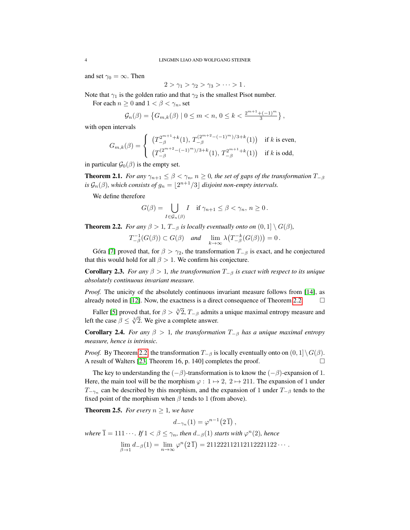and set  $\gamma_0 = \infty$ . Then

$$
2>\gamma_1>\gamma_2>\gamma_3>\cdots>1.
$$

Note that  $\gamma_1$  is the golden ratio and that  $\gamma_2$  is the smallest Pisot number.

For each  $n \geq 0$  and  $1 < \beta < \gamma_n$ , set

$$
\mathcal{G}_n(\beta) = \left\{ G_{m,k}(\beta) \mid 0 \leq m < n, \, 0 \leq k < \frac{2^{m+1} + (-1)^m}{3} \right\},
$$

with open intervals

$$
G_{m,k}(\beta) = \begin{cases} (T_{-\beta}^{2^{m+1}+k}(1), T_{-\beta}^{(2^{m+2}-(-1)^m)/3+k}(1)) & \text{if } k \text{ is even,} \\ (T_{-\beta}^{(2^{m+2}-(-1)^m)/3+k}(1), T_{-\beta}^{2^{m+1}+k}(1)) & \text{if } k \text{ is odd,} \end{cases}
$$

in particular  $\mathcal{G}_0(\beta)$  is the empty set.

<span id="page-3-0"></span>**Theorem 2.1.** *For any*  $\gamma_{n+1} \leq \beta < \gamma_n$ ,  $n \geq 0$ , the set of gaps of the transformation  $T_{-\beta}$ *is*  $\mathcal{G}_n(\beta)$ , which consists of  $g_n = \lfloor 2^{n+1}/3 \rfloor$  disjoint non-empty intervals.

We define therefore

$$
G(\beta) = \bigcup_{I \in \mathcal{G}_n(\beta)} I \quad \text{if } \gamma_{n+1} \le \beta < \gamma_n, \, n \ge 0 \, .
$$

<span id="page-3-2"></span>**Theorem 2.2.** *For any*  $\beta > 1$ ,  $T_{-\beta}$  *is locally eventually onto on*  $(0, 1] \setminus G(\beta)$ *,* 

$$
T_{-\beta}^{-1}(G(\beta)) \subset G(\beta) \quad \text{and} \quad \lim_{k \to \infty} \lambda \big( T_{-\beta}^{-k}(G(\beta)) \big) = 0 \, .
$$

Góra [\[7\]](#page-16-0) proved that, for  $\beta > \gamma_2$ , the transformation  $T_{-\beta}$  is exact, and he conjectured that this would hold for all  $\beta > 1$ . We confirm his conjecture.

**Corollary 2.3.** *For any*  $\beta > 1$ *, the transformation*  $T_{-\beta}$  *is exact with respect to its unique absolutely continuous invariant measure.*

*Proof.* The unicity of the absolutely continuous invariant measure follows from [\[14\]](#page-17-10), as already noted in [\[12\]](#page-17-1). Now, the exactness is a direct consequence of Theorem [2.2.](#page-3-2)  $\Box$ 

Faller [\[5\]](#page-16-1) proved that, for  $\beta > \sqrt[3]{2}$ ,  $T_{-\beta}$  admits a unique maximal entropy measure and Fance [5] proved that, for  $p > \sqrt{2}$ ,  $1-\beta$  admits<br>left the case  $\beta \leq \sqrt[3]{2}$ . We give a complete answer.

<span id="page-3-3"></span>**Corollary 2.4.** *For any*  $\beta > 1$ , *the transformation*  $T_{-\beta}$  *has a unique maximal entropy measure, hence is intrinsic.*

*Proof.* By Theorem [2.2,](#page-3-2) the transformation  $T_{-\beta}$  is locally eventually onto on  $(0,1]\setminus G(\beta)$ . A result of Walters [\[23,](#page-17-11) Theorem 16, p. 140] completes the proof.

The key to understanding the  $(-\beta)$ -transformation is to know the  $(-\beta)$ -expansion of 1. Here, the main tool will be the morphism  $\varphi : 1 \mapsto 2, 2 \mapsto 211$ . The expansion of 1 under  $T_{-\gamma_n}$  can be described by this morphism, and the expansion of 1 under  $T_{-\beta}$  tends to the fixed point of the morphism when  $\beta$  tends to 1 (from above).

<span id="page-3-1"></span>**Theorem 2.5.** *For every*  $n \geq 1$ *, we have* 

 $d_{-\gamma_n}(1) = \varphi^{n-1}(2\bar{1}),$ 

*where*  $\overline{1} = 111 \cdots$  *. If*  $1 < \beta \le \gamma_n$ *, then*  $d_{-\beta}(1)$  *starts with*  $\varphi^n(2)$ *, hence*  $\lim_{\beta \to 1} d_{-\beta}(1) = \lim_{n \to \infty} \varphi^n(2\bar{1}) = 21122211211212221122 \cdots$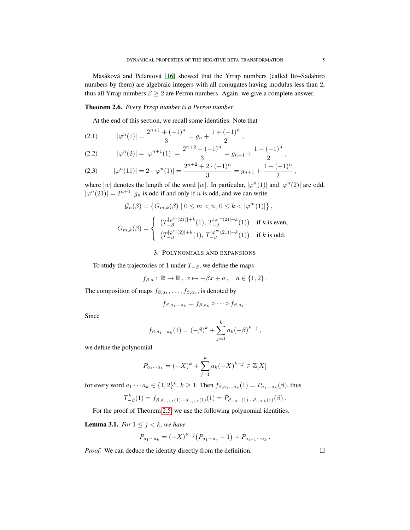Masáková and Pelantová [\[16\]](#page-17-12) showed that the Yrrap numbers (called Ito–Sadahiro numbers by them) are algebraic integers with all conjugates having modulus less than 2, thus all Yrrap numbers  $\beta \geq 2$  are Perron numbers. Again, we give a complete answer.

# <span id="page-4-5"></span>Theorem 2.6. *Every Yrrap number is a Perron number.*

At the end of this section, we recall some identities. Note that

<span id="page-4-4"></span>
$$
(2.1) \t |\varphi^n(1)| = \frac{2^{n+1} + (-1)^n}{3} = g_n + \frac{1 + (-1)^n}{2},
$$

<span id="page-4-2"></span>
$$
(2.2) \qquad |\varphi^n(2)| = |\varphi^{n+1}(1)| = \frac{2^{n+2} - (-1)^n}{3} = g_{n+1} + \frac{1 - (-1)^n}{2},
$$

<span id="page-4-3"></span>
$$
(2.3) \qquad |\varphi^n(11)| = 2 \cdot |\varphi^n(1)| = \frac{2^{n+2} + 2 \cdot (-1)^n}{3} = g_{n+1} + \frac{1 + (-1)^n}{2},
$$

where |w| denotes the length of the word |w|. In particular,  $|\varphi^n(1)|$  and  $|\varphi^n(2)|$  are odd,  $|\varphi^n(21)| = 2^{n+1}$ ,  $g_n$  is odd if and only if n is odd, and we can write

$$
\begin{aligned} \mathcal{G}_n(\beta) &= \left\{ G_{m,k}(\beta) \mid 0 \leq m < n, \, 0 \leq k < |\varphi^m(1)| \right\}, \\ G_{m,k}(\beta) &= \left\{ \begin{array}{ll} \left( T_{-\beta}^{|\varphi^m(21)|+k}(1), \, T_{-\beta}^{|\varphi^m(2)|+k}(1) \right) & \text{if $k$ is even}, \\ \left( T_{-\beta}^{|\varphi^m(2)|+k}(1), \, T_{-\beta}^{|\varphi^m(21)|+k}(1) \right) & \text{if $k$ is odd}. \end{array} \right. \end{aligned}
$$

#### 3. POLYNOMIALS AND EXPANSIONS

<span id="page-4-0"></span>To study the trajectories of 1 under  $T_{-\beta}$ , we define the maps

$$
f_{\beta,a}: \mathbb{R} \to \mathbb{R}, \ x \mapsto -\beta x + a \,, \quad a \in \{1,2\} \,.
$$

The composition of maps  $f_{\beta,a_1}, \ldots, f_{\beta,a_k}$ , is denoted by

$$
f_{\beta,a_1\cdots a_k}=f_{\beta,a_k}\circ\cdots\circ f_{\beta,a_1}.
$$

Since

$$
f_{\beta, a_1 \cdots a_k}(1) = (-\beta)^k + \sum_{j=1}^k a_k (-\beta)^{k-j},
$$

we define the polynomial

$$
P_{a_1 \cdots a_k} = (-X)^k + \sum_{j=1}^k a_k (-X)^{k-j} \in \mathbb{Z}[X]
$$

for every word  $a_1 \cdots a_k \in \{1,2\}^k$ ,  $k \ge 1$ . Then  $f_{\beta,a_1 \cdots a_k}(1) = P_{a_1 \cdots a_k}(\beta)$ , thus

$$
T_{-\beta}^k(1) = f_{\beta,d_{-\beta,1}(1)\cdots d_{-\beta,k}(1)}(1) = P_{d_{-\beta,1}(1)\cdots d_{-\beta,k}(1)}(\beta).
$$

For the proof of Theorem [2.5,](#page-3-1) we use the following polynomial identities.

<span id="page-4-1"></span>**Lemma 3.1.** *For*  $1 \leq j \leq k$ *, we have* 

$$
P_{a_1\cdots a_k} = (-X)^{k-j} (P_{a_1\cdots a_j} - 1) + P_{a_{j+1}\cdots a_k}.
$$

*Proof.* We can deduce the identity directly from the definition.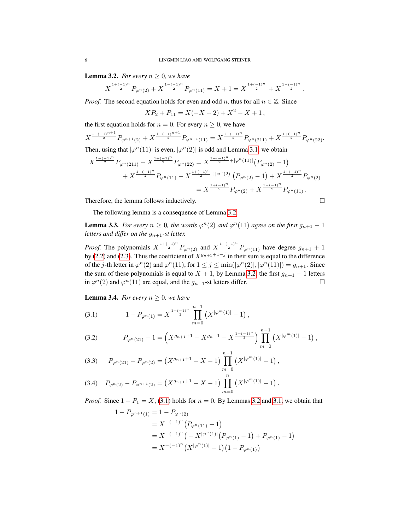<span id="page-5-0"></span>**Lemma 3.2.** *For every*  $n \geq 0$ *, we have* 

$$
X^{\frac{1+(-1)^n}{2}}P_{\varphi^n(2)} + X^{\frac{1-(-1)^n}{2}}P_{\varphi^n(11)} = X + 1 = X^{\frac{1+(-1)^n}{2}} + X^{\frac{1-(-1)^n}{2}}.
$$

*Proof.* The second equation holds for even and odd n, thus for all  $n \in \mathbb{Z}$ . Since

$$
XP_2 + P_{11} = X(-X + 2) + X^2 - X + 1,
$$

the first equation holds for  $n = 0$ . For every  $n \ge 0$ , we have

$$
X^{\frac{1+(-1)^{n+1}}{2}}P_{\varphi^{n+1}(2)} + X^{\frac{1-(-1)^{n+1}}{2}}P_{\varphi^{n+1}(11)} = X^{\frac{1-(-1)^n}{2}}P_{\varphi^n(211)} + X^{\frac{1+(-1)^n}{2}}P_{\varphi^n(22)}.
$$
  
Then, using that  $|\varphi^n(11)|$  is even,  $|\varphi^n(2)|$  is odd and Lemma 3.1, we obtain

$$
\begin{split} X^{\frac{1-(-1)^n}{2}} P_{\varphi^n(211)} + X^{\frac{1+(-1)^n}{2}} P_{\varphi^n(22)} &= X^{\frac{1-(-1)^n}{2} + |\varphi^n(11)|} \left( P_{\varphi^n(2)} - 1 \right) \\ &+ X^{\frac{1-(-1)^n}{2}} P_{\varphi^n(11)} - X^{\frac{1+(-1)^n}{2} + |\varphi^n(2)|} \left( P_{\varphi^n(2)} - 1 \right) + X^{\frac{1+(-1)^n}{2}} P_{\varphi^n(2)} \\ &= X^{\frac{1+(-1)^n}{2}} P_{\varphi^n(2)} + X^{\frac{1-(-1)^n}{2}} P_{\varphi^n(11)} \,. \end{split}
$$

Therefore, the lemma follows inductively.

The following lemma is a consequence of Lemma [3.2.](#page-5-0)

<span id="page-5-6"></span>**Lemma 3.3.** *For every*  $n \geq 0$ , the words  $\varphi^{n}(2)$  and  $\varphi^{n}(11)$  agree on the first  $g_{n+1} - 1$ *letters and differ on the*  $g_{n+1}$ -st letter.

*Proof.* The polynomials  $X^{\frac{1+(-1)^n}{2}}P_{\varphi^n(2)}$  and  $X^{\frac{1-(-1)^n}{2}}P_{\varphi^n(11)}$  have degree  $g_{n+1}+1$ by [\(2.2\)](#page-4-2) and [\(2.3\)](#page-4-3). Thus the coefficient of  $X^{g_{n+1}+1-j}$  in their sum is equal to the difference of the j-th letter in  $\varphi^n(2)$  and  $\varphi^n(11)$ , for  $1 \le j \le \min(|\varphi^n(2)|, |\varphi^n(11)|) = g_{n+1}$ . Since the sum of these polynomials is equal to  $X + 1$ , by Lemma [3.2,](#page-5-0) the first  $g_{n+1} - 1$  letters in  $\varphi^{n}(2)$  and  $\varphi^{n}(11)$  are equal, and the  $g_{n+1}$ -st letters differ.

<span id="page-5-5"></span>**Lemma 3.4.** *For every*  $n \geq 0$ *, we have* 

<span id="page-5-1"></span>(3.1) 
$$
1 - P_{\varphi^n(1)} = X^{\frac{1+(-1)^n}{2}} \prod_{m=0}^{n-1} \left( X^{|\varphi^m(1)|} - 1 \right),
$$

<span id="page-5-2"></span>(3.2) 
$$
P_{\varphi^n(21)} - 1 = \left( X^{g_{n+1}+1} - X^{g_n+1} - X^{\frac{1+(-1)^n}{2}} \right) \prod_{m=0}^{n-1} \left( X^{|\varphi^m(1)|} - 1 \right),
$$

<span id="page-5-3"></span>
$$
(3.3) \tP_{\varphi^{n}(21)} - P_{\varphi^{n}(2)} = \left(X^{g_{n+1}+1} - X - 1\right) \prod_{m=0}^{n-1} \left(X^{|\varphi^{m}(1)|} - 1\right),
$$

<span id="page-5-4"></span>
$$
(3.4) \quad P_{\varphi^n(2)} - P_{\varphi^{n+1}(2)} = \left(X^{g_{n+1}+1} - X - 1\right) \prod_{m=0}^n \left(X^{|\varphi^m(1)|} - 1\right).
$$

*Proof.* Since  $1 - P_1 = X$ , [\(3.1\)](#page-5-1) holds for  $n = 0$ . By Lemmas [3.2](#page-5-0) and [3.1,](#page-4-1) we obtain that

$$
1 - P_{\varphi^{n+1}(1)} = 1 - P_{\varphi^n(2)}
$$
  
=  $X^{-(1)^n} (P_{\varphi^n(11)} - 1)$   
=  $X^{-(1)^n} (-X^{|\varphi^n(1)|} (P_{\varphi^n(1)} - 1) + P_{\varphi^n(1)} - 1)$   
=  $X^{-(1)^n} (X^{|\varphi^n(1)|} - 1) (1 - P_{\varphi^n(1)})$ 

$$
\Box
$$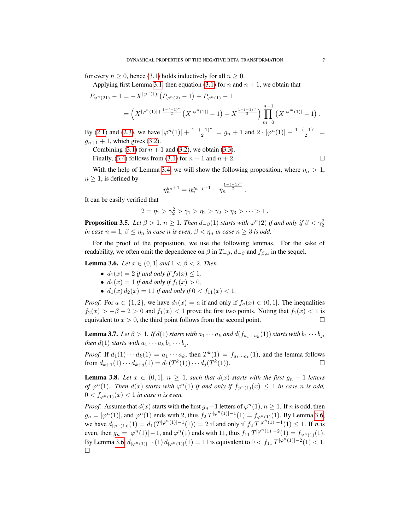for every  $n > 0$ , hence [\(3.1\)](#page-5-1) holds inductively for all  $n > 0$ .

Applying first Lemma [3.1,](#page-4-1) then equation [\(3.1\)](#page-5-1) for n and  $n + 1$ , we obtain that

$$
P_{\varphi^n(21)} - 1 = -X^{|\varphi^n(1)|} \left( P_{\varphi^n(2)} - 1 \right) + P_{\varphi^n(1)} - 1
$$
  
=  $\left( X^{|\varphi^n(1)| + \frac{1 - (-1)^n}{2}} \left( X^{|\varphi^n(1)|} - 1 \right) - X^{\frac{1 + (-1)^n}{2}} \right) \prod_{m=0}^{n-1} \left( X^{|\varphi^m(1)|} - 1 \right).$ 

By [\(2.1\)](#page-4-4) and [\(2.3\)](#page-4-3), we have  $|\varphi^{n}(1)| + \frac{1-(-1)^{n}}{2} = g_n + 1$  and  $2 \cdot |\varphi^{n}(1)| + \frac{1-(-1)^{n}}{2} =$  $g_{n+1} + 1$ , which gives [\(3.2\)](#page-5-2).

Combining [\(3.1\)](#page-5-1) for  $n + 1$  and [\(3.2\)](#page-5-2), we obtain [\(3.3\)](#page-5-3).

Finally, [\(3.4\)](#page-5-4) follows from [\(3.1\)](#page-5-1) for  $n + 1$  and  $n + 2$ .

With the help of Lemma [3.4,](#page-5-5) we will show the following proposition, where  $\eta_n > 1$ ,  $n > 1$ , is defined by

$$
\eta_n^{g_n+1}=\eta_n^{g_{n-1}+1}+\eta_n^{\frac{1-(-1)^n}{2}}\,.
$$

It can be easily verified that

 $2 = \eta_1 > \gamma_2^2 > \gamma_1 > \eta_2 > \gamma_2 > \eta_3 > \cdots > 1$ .

<span id="page-6-1"></span>**Proposition 3.5.** *Let*  $\beta > 1$ ,  $n \ge 1$ *. Then*  $d_{-\beta}(1)$  *starts with*  $\varphi^{n}(2)$  *if and only if*  $\beta < \gamma_2^2$ *in case*  $n = 1$ ,  $\beta \le \eta_n$  *in case* n *is even,*  $\beta < \eta_n$  *in case*  $n \ge 3$  *is odd.* 

For the proof of the proposition, we use the following lemmas. For the sake of readability, we often omit the dependence on  $\beta$  in  $T_{-\beta}$ ,  $d_{-\beta}$  and  $f_{\beta,a}$  in the sequel.

<span id="page-6-0"></span>**Lemma 3.6.** *Let*  $x \in (0, 1]$  *and*  $1 < \beta < 2$ *. Then* 

- $d_1(x) = 2$  *if and only if*  $f_2(x) \le 1$ ,
- $d_1(x) = 1$  *if and only if*  $f_1(x) > 0$ *,*
- $d_1(x) d_2(x) = 11$  *if and only if*  $0 < f_{11}(x) < 1$ *.*

*Proof.* For  $a \in \{1, 2\}$ , we have  $d_1(x) = a$  if and only if  $f_a(x) \in (0, 1]$ . The inequalities  $f_2(x) > -\beta + 2 > 0$  and  $f_1(x) < 1$  prove the first two points. Noting that  $f_1(x) < 1$  is equivalent to  $x > 0$ , the third point follows from the second point.

<span id="page-6-3"></span>**Lemma 3.7.** *Let*  $\beta > 1$ *. If*  $d(1)$  *starts with*  $a_1 \cdots a_k$  *and*  $d(f_{a_1 \cdots a_k}(1))$  *starts with*  $b_1 \cdots b_j$ *, then*  $d(1)$  *starts with*  $a_1 \cdots a_k b_1 \cdots b_i$ *.* 

*Proof.* If  $d_1(1) \cdots d_k(1) = a_1 \cdots a_k$ , then  $T^k(1) = f_{a_1 \cdots a_k}(1)$ , and the lemma follows from  $d_{k+1}(1) \cdots d_{k+j}(1) = d_1(T^k(1)) \cdots d_j(T^k(1)).$ 

<span id="page-6-2"></span>**Lemma 3.8.** *Let*  $x \in (0,1]$ *,*  $n \geq 1$ *, such that*  $d(x)$  *starts with the first*  $g_n - 1$  *letters of*  $\varphi^{n}(1)$ *. Then*  $d(x)$  *starts with*  $\varphi^{n}(1)$  *if and only if*  $f_{\varphi^{n}(1)}(x) \leq 1$  *in case n is odd,*  $0 < f_{\varphi^n(1)}(x) < 1$  *in case n is even.* 

*Proof.* Assume that  $d(x)$  starts with the first  $g_n - 1$  letters of  $\varphi^n(1)$ ,  $n \geq 1$ . If n is odd, then  $g_n = |\varphi^n(1)|$ , and  $\varphi^n(1)$  ends with 2, thus  $f_2 T^{|\varphi^n(1)|-1}(1) = f_{\varphi^n(1)}(1)$ . By Lemma [3.6,](#page-6-0) we have  $d_{|\varphi^n(1)|}(1) = d_1(T^{|\varphi^n(1)|-1}(1)) = 2$  if and only if  $f_2 T^{|\varphi^n(1)|-1}(1) \leq 1$ . If n is even, then  $g_n = |\varphi^n(1)| - 1$ , and  $\varphi^n(1)$  ends with 11, thus  $f_{11} T^{|\varphi^n(1)| - 2}(1) = f_{\varphi^n(1)}(1)$ . By Lemma [3.6,](#page-6-0)  $d_{|\varphi^n(1)|-1}(1) d_{|\varphi^n(1)|}(1) = 11$  is equivalent to  $0 < f_{11} T^{|\varphi^n(1)|-2}(1) < 1$ .  $\Box$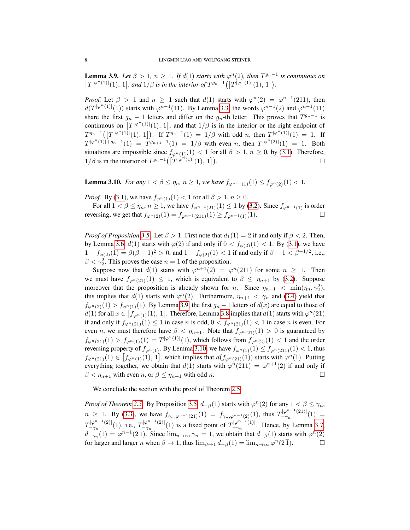<span id="page-7-0"></span>**Lemma 3.9.** Let  $\beta > 1$ ,  $n \ge 1$ . If  $d(1)$  starts with  $\varphi^{n}(2)$ , then  $T^{g_{n}-1}$  is continuous on  $[T^{|\varphi^{n}(1)|}(1), 1]$ , and  $1/\beta$  is in the interior of  $T^{g_n-1}([T^{|\varphi^{n}(1)|}(1), 1])$ .

*Proof.* Let  $\beta > 1$  and  $n \ge 1$  such that  $d(1)$  starts with  $\varphi^{n}(2) = \varphi^{n-1}(211)$ , then  $d(T^{|\varphi^n(1)|}(1))$  starts with  $\varphi^{n-1}(11)$ . By Lemma [3.3,](#page-5-6) the words  $\varphi^{n-1}(2)$  and  $\varphi^{n-1}(11)$ share the first  $g_n - 1$  letters and differ on the  $g_n$ -th letter. This proves that  $T^{g_n-1}$  is continuous on  $[T^{|\varphi^n(1)|}(1), 1]$ , and that  $1/\beta$  is in the interior or the right endpoint of  $T^{g_n-1}([T^{|\varphi^n(1)}(1), 1])$ . If  $T^{g_n-1}(1) = 1/\beta$  with odd n, then  $T^{|\varphi^n(1)|}(1) = 1$ . If  $T^{|\varphi^{n}(1)|+g_{n}-1}(1) = T^{g_{n+1}-1}(1) = 1/\beta$  with even n, then  $T^{|\varphi^{n}(2)|}(1) = 1$ . Both situations are impossible since  $f_{\varphi^n(1)}(1) < 1$  for all  $\beta > 1$ ,  $n \ge 0$ , by [\(3.1\)](#page-5-1). Therefore,  $1/\beta$  is in the interior of  $T^{g_n-1}(\vert T^{\vert \varphi^{n}(1) \vert}(\vert), \vert T \vert)$  $\Box$ 

<span id="page-7-1"></span>**Lemma 3.10.** *For any*  $1 < \beta \le \eta_n$ ,  $n \ge 1$ , we have  $f_{\varphi^{n-1}(1)}(1) \le f_{\varphi^n(2)}(1) < 1$ .

*Proof.* By [\(3.1\)](#page-5-1), we have  $f_{\varphi^{n}(1)}(1) < 1$  for all  $\beta > 1, n \ge 0$ .

For all  $1 < \beta \le \eta_n$ ,  $n \ge 1$ , we have  $f_{\varphi^{n-1}(21)}(1) \le 1$  by [\(3.2\)](#page-5-2). Since  $f_{\varphi^{n-1}(1)}$  is order reversing, we get that  $f_{\varphi^{n}(2)}(1) = f_{\varphi^{n-1}(211)}(1) \ge f_{\varphi^{n-1}(1)}(1)$ . □

*Proof of Proposition* [3.5.](#page-6-1) Let  $\beta > 1$ . First note that  $d_1(1) = 2$  if and only if  $\beta < 2$ . Then, by Lemma [3.6,](#page-6-0)  $d(1)$  starts with  $\varphi(2)$  if and only if  $0 < f_{\varphi(2)}(1) < 1$ . By [\(3.1\)](#page-5-1), we have  $1 - f_{\varphi(2)}(1) = \beta(\beta - 1)^2 > 0$ , and  $1 - f_{\varphi(2)}(1) < 1$  if and only if  $\beta - 1 < \beta^{-1/2}$ , i.e.,  $\beta < \gamma_2^2$ . This proves the case  $n = 1$  of the proposition.

Suppose now that  $d(1)$  starts with  $\varphi^{n+1}(2) = \varphi^n(211)$  for some  $n \geq 1$ . Then we must have  $f_{\varphi^n(21)}(1) \leq 1$ , which is equivalent to  $\beta \leq \eta_{n+1}$  by [\(3.2\)](#page-5-2). Suppose moreover that the proposition is already shown for n. Since  $\eta_{n+1} < \min(\eta_n, \gamma_2^2)$ , this implies that  $d(1)$  starts with  $\varphi^{n}(2)$ . Furthermore,  $\eta_{n+1} < \gamma_n$  and [\(3.4\)](#page-5-4) yield that  $f_{\varphi^n(2)}(1) > f_{\varphi^n(1)}(1)$ . By Lemma [3.9,](#page-7-0) the first  $g_n - 1$  letters of  $d(x)$  are equal to those of  $d(1)$  for all  $x \in [f_{\varphi^n(1)}(1), 1]$ . Therefore, Lemma [3.8](#page-6-2) implies that  $d(1)$  starts with  $\varphi^n(21)$ if and only if  $f_{\varphi^n(21)}(1) \leq 1$  in case n is odd,  $0 < f_{\varphi^n(21)}(1) < 1$  in case n is even. For even n, we must therefore have  $\beta < \eta_{n+1}$ . Note that  $f_{\varphi^{n}(21)}(1) > 0$  is guaranteed by  $f_{\varphi^{n}(21)}(1) > f_{\varphi^{n}(1)}(1) = T^{|\varphi^{n}(1)|}(1)$ , which follows from  $f_{\varphi^{n}(2)}(1) < 1$  and the order reversing property of  $f_{\varphi^n(1)}$ . By Lemma [3.10,](#page-7-1) we have  $f_{\varphi^n(1)}(1) \le f_{\varphi^n(211)}(1) < 1$ , thus  $f_{\varphi^{n}(21)}(1) \in [f_{\varphi^{n}(1)}(1), 1]$ , which implies that  $d(f_{\varphi^{n}(21)}(1))$  starts with  $\varphi^{n}(1)$ . Putting everything together, we obtain that  $d(1)$  starts with  $\varphi^{n}(211) = \varphi^{n+1}(2)$  if and only if  $\beta < \eta_{n+1}$  with even  $n$ , or  $\beta \leq \eta_{n+1}$  with odd  $n$ .

We conclude the section with the proof of Theorem [2.5.](#page-3-1)

*Proof of Theorem* [2.5.](#page-3-1) By Proposition [3.5,](#page-6-1)  $d_{-\beta}(1)$  starts with  $\varphi^{n}(2)$  for any  $1 < \beta \leq \gamma_{n}$ ,  $n \geq 1$ . By [\(3.3\)](#page-5-3), we have  $f_{\gamma_n,\varphi^{n-1}(21)}(1) = f_{\gamma_n,\varphi^{n-1}(2)}(1)$ , thus  $T_{-\gamma_n}^{|\varphi^{n-1}(21)|}(1) =$  $T_{-\gamma_n}^{|\varphi^{n-1}(2)|}(1)$ , i.e.,  $T_{-\gamma_n}^{|\varphi^{n-1}(2)|}(1)$  is a fixed point of  $T_{-\gamma_n}^{|\varphi^{n-1}(1)|}$ . Hence, by Lemma [3.7,](#page-6-3)  $d_{-\gamma_n}(1) = \varphi^{n-1}(2\bar{1})$ . Since  $\lim_{n\to\infty} \gamma_n = 1$ , we obtain that  $d_{-\beta}(1)$  starts with  $\varphi^n(2)$ for larger and larger *n* when  $\beta \to 1$ , thus  $\lim_{\beta \to 1} d_{-\beta}(1) = \lim_{n \to \infty} \varphi^n(2\overline{1})$ .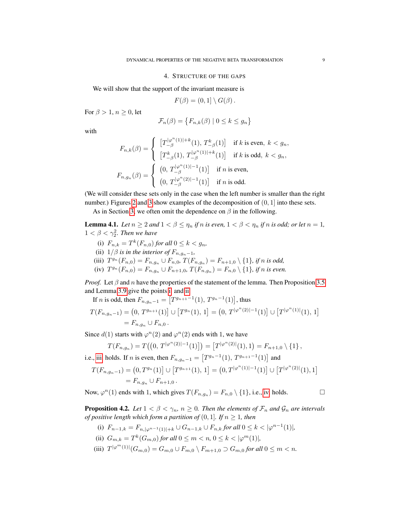## 4. STRUCTURE OF THE GAPS

<span id="page-8-0"></span>We will show that the support of the invariant measure is

$$
F(\beta) = (0,1] \setminus G(\beta).
$$

For  $\beta > 1$ ,  $n \geq 0$ , let

$$
\mathcal{F}_n(\beta) = \{ F_{n,k}(\beta) \mid 0 \le k \le g_n \}
$$

with

$$
\label{eq:fn} \begin{split} F_{n,k}(\beta) &= \left\{ \begin{array}{ll} \left[T^{|\varphi^n(1)|+k}(1),\,T^k_{-\beta}(1)\right] & \text{if $k$ is even, $k < g_n$,} \\ \left[T^k_{-\beta}(1),\,T^{|\varphi^n(1)|+k}(1)\right] & \text{if $k$ is odd, $k < g_n$,} \end{array} \right. \\ F_{n,g_n}(\beta) &= \left\{ \begin{array}{ll} \left(0,\,T^{|\varphi^n(1)|-1}_{-\beta}(1)\right] & \text{if $n$ is even,} \\ \left(0,\,T^{|\varphi^n(2)|-1}_{-\beta}(1)\right) & \text{if $n$ is odd.} \end{array} \right. \end{split}
$$

(We will consider these sets only in the case when the left number is smaller than the right number.) Figures [2](#page-9-0) and [3](#page-10-0) show examples of the decomposition of  $(0, 1]$  into these sets.

As in Section [3,](#page-4-0) we often omit the dependence on  $\beta$  in the following.

**Lemma 4.1.** *Let*  $n \geq 2$  *and*  $1 < \beta \leq \eta_n$  *if*  $n$  *is even,*  $1 < \beta < \eta_n$  *if*  $n$  *is odd; or let*  $n = 1$ *,*  $1 < \beta < \gamma_2^2$ . Then we have

- <span id="page-8-1"></span>(i)  $F_{n,k} = T^k(F_{n,0})$  *for all*  $0 \le k < g_n$ *,*
- <span id="page-8-2"></span>(ii)  $1/\beta$  *is in the interior of*  $F_{n,q_n-1}$ ,
- <span id="page-8-3"></span>(iii)  $T^{g_n}(F_{n,0}) = F_{n,g_n} \cup F_{n,0}, T(F_{n,g_n}) = F_{n+1,0} \setminus \{1\},$  if n is odd,
- <span id="page-8-4"></span>(iv)  $T^{g_n}(F_{n,0}) = F_{n,g_n} \cup F_{n+1,0}, T(F_{n,g_n}) = F_{n,0} \setminus \{1\}$ , if n is even.

*Proof.* Let  $\beta$  and n have the properties of the statement of the lemma. Then Proposition [3.5](#page-6-1) and Lemma [3.9](#page-7-0) give the points [i.](#page-8-1) and [ii.](#page-8-2)

If *n* is odd, then  $F_{n,g_n-1} = [T^{g_{n+1}-1}(1), T^{g_n-1}(1)]$ , thus

$$
T(F_{n,g_n-1}) = (0, T^{g_{n+1}}(1)) \cup [T^{g_n}(1), 1] = (0, T^{|\varphi^n(2)|-1}(1)) \cup [T^{|\varphi^n(1)|}(1), 1]
$$
  
=  $F_{n,g_n} \cup F_{n,0}$ .

Since  $d(1)$  starts with  $\varphi^{n}(2)$  and  $\varphi^{n}(2)$  ends with 1, we have

$$
T(F_{n,g_n}) = T((0, T^{|\varphi^n(2)|-1}(1))] = [T^{|\varphi^n(2)|}(1), 1) = F_{n+1,0} \setminus \{1\},\
$$

i.e., [iii.](#page-8-3) holds. If *n* is even, then  $F_{n,g_n-1} = [T^{g_n-1}(1), T^{g_{n+1}-1}(1)]$  and

$$
T(F_{n,g_n-1}) = (0,T^{g_n}(1)] \cup [T^{g_{n+1}}(1), 1] = (0,T^{|\varphi^n(1)|-1}(1)] \cup [T^{|\varphi^n(2)|}(1), 1] = F_{n,g_n} \cup F_{n+1,0}.
$$

Now,  $\varphi^{n}(1)$  ends with 1, which gives  $T(F_{n,g_n}) = F_{n,0} \setminus \{1\}$ , i.e., [iv.](#page-8-4) holds.

<span id="page-8-8"></span>**Proposition 4.2.** *Let*  $1 < \beta < \gamma_n$ ,  $n \geq 0$ *. Then the elements of*  $\mathcal{F}_n$  *and*  $\mathcal{G}_n$  *are intervals of positive length which form a partition of*  $(0, 1]$ *. If*  $n \geq 1$ *, then* 

<span id="page-8-5"></span>(i) 
$$
F_{n-1,k} = F_{n,|\varphi^{n-1}(1)|+k} \cup G_{n-1,k} \cup F_{n,k}
$$
 for all  $0 \le k < |\varphi^{n-1}(1)|$ ,

- <span id="page-8-6"></span>(ii)  $G_{m,k} = T^k(G_{m,0})$  *for all*  $0 \le m < n, 0 \le k < |\varphi^m(1)|$ ,
- <span id="page-8-7"></span>(iii)  $T^{|\varphi^m(1)|}(G_{m,0}) = G_{m,0} \cup F_{m,0} \setminus F_{m+1,0} \supset G_{m,0}$  for all  $0 \leq m < n$ .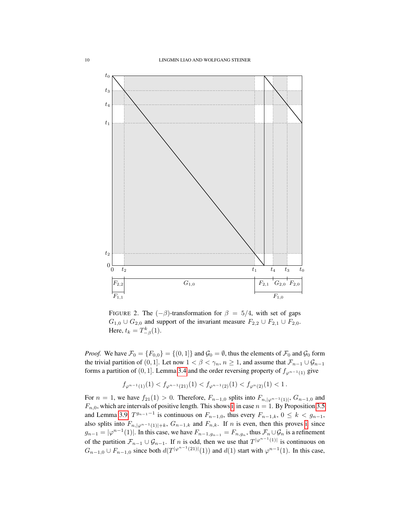

<span id="page-9-0"></span>FIGURE 2. The  $(-\beta)$ -transformation for  $\beta = 5/4$ , with set of gaps  $G_{1,0} \cup G_{2,0}$  and support of the invariant measure  $F_{2,2} \cup F_{2,1} \cup F_{2,0}$ . Here,  $t_k = T_{-\beta}^k(1)$ .

*Proof.* We have  $\mathcal{F}_0 = \{F_{0,0}\} = \{(0,1]\}$  and  $\mathcal{G}_0 = \emptyset$ , thus the elements of  $\mathcal{F}_0$  and  $\mathcal{G}_0$  form the trivial partition of (0, 1]. Let now  $1 < \beta < \gamma_n$ ,  $n \ge 1$ , and assume that  $\mathcal{F}_{n-1} \cup \mathcal{G}_{n-1}$ forms a partition of (0, 1]. Lemma [3.4](#page-5-5) and the order reversing property of  $f_{\varphi^{n-1}(1)}$  give

$$
f_{\varphi^{n-1}(1)}(1) < f_{\varphi^{n-1}(21)}(1) < f_{\varphi^{n-1}(2)}(1) < f_{\varphi^n(2)}(1) < 1.
$$

For  $n = 1$ , we have  $f_{21}(1) > 0$ . Therefore,  $F_{n-1,0}$  splits into  $F_{n,|\varphi^{n-1}(1)|}$ ,  $G_{n-1,0}$  and  $F_{n,0}$ , which are intervals of positive length. This shows [i.](#page-8-5) in case  $n = 1$ . By Proposition [3.5](#page-6-1) and Lemma [3.9,](#page-7-0)  $T^{g_{n-1}-1}$  is continuous on  $F_{n-1,0}$ , thus every  $F_{n-1,k}$ ,  $0 \le k < g_{n-1}$ , also splits into  $F_{n,|\varphi^{n-1}(1)|+k}$ ,  $G_{n-1,k}$  and  $F_{n,k}$ . If n is even, then this proves [i.](#page-8-5) since  $g_{n-1} = |\varphi^{n-1}(1)|$ . In this case, we have  $F_{n-1,g_{n-1}} = F_{n,g_n}$ , thus  $\mathcal{F}_n \cup \mathcal{G}_n$  is a refinement of the partition  $\mathcal{F}_{n-1} \cup \mathcal{G}_{n-1}$ . If n is odd, then we use that  $T^{|\varphi^{n-1}(1)|}$  is continuous on  $G_{n-1,0} \cup F_{n-1,0}$  since both  $d(T^{|\varphi^{n-1}(21)|}(1))$  and  $d(1)$  start with  $\varphi^{n-1}(1)$ . In this case,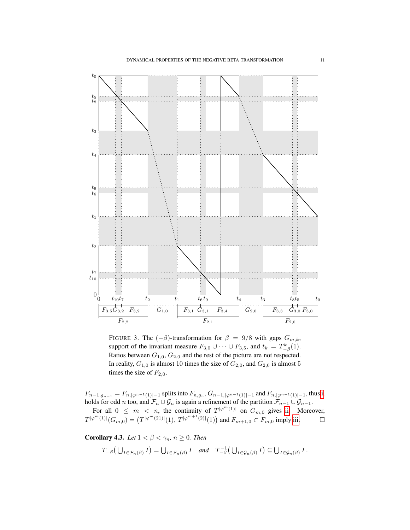

<span id="page-10-0"></span>FIGURE 3. The  $(-\beta)$ -transformation for  $\beta = 9/8$  with gaps  $G_{m,k}$ , support of the invariant measure  $F_{3,0} \cup \cdots \cup F_{3,5}$ , and  $t_k = T_{-\beta}^k(1)$ . Ratios between  $G_{1,0}$ ,  $G_{2,0}$  and the rest of the picture are not respected. In reality,  $G_{1,0}$  is almost 10 times the size of  $G_{2,0}$ , and  $G_{2,0}$  is almost 5 times the size of  $F_{2,0}$ .

 $F_{n-1,g_{n-1}} = F_{n,|\varphi^{n-1}(1)|-1}$  splits into  $F_{n,g_n}$ ,  $G_{n-1,|\varphi^{n-1}(1)|-1}$  and  $F_{n,|\varphi^{n-1}(1)|-1}$ , thus [i.](#page-8-5) holds for odd *n* too, and  $\mathcal{F}_n \cup \mathcal{G}_n$  is again a refinement of the partition  $\mathcal{F}_{n-1} \cup \mathcal{G}_{n-1}$ .

For all  $0 \leq m < n$ , the continuity of  $T^{|\varphi^m(1)|}$  on  $G_{m,0}$  gives [ii.](#page-8-6) Moreover,  $T^{|\varphi^m(1)|}(G_{m,0}) = (T^{|\varphi^m(21)|}(1), T^{|\varphi^{m+1}(2)|}(1))$  and  $F_{m+1,0} \subset F_{m,0}$  imply [iii.](#page-8-7)

<span id="page-10-1"></span>**Corollary 4.3.** *Let*  $1 < \beta < \gamma_n$ ,  $n \geq 0$ *. Then* 

$$
T_{-\beta}(\bigcup_{I\in\mathcal{F}_n(\beta)}I)=\bigcup_{I\in\mathcal{F}_n(\beta)}I \quad and \quad T_{-\beta}^{-1}(\bigcup_{I\in\mathcal{G}_n(\beta)}I)\subseteq\bigcup_{I\in\mathcal{G}_n(\beta)}I.
$$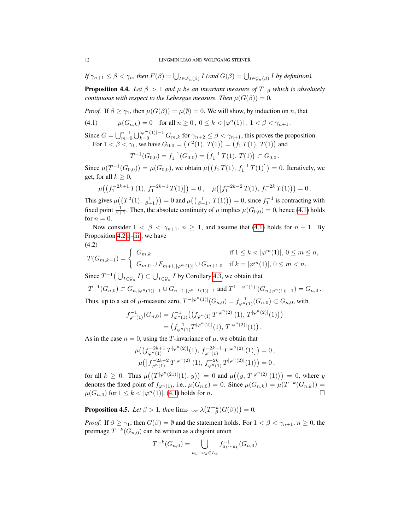*If*  $\gamma_{n+1} \leq \beta < \gamma_n$ , then  $F(\beta) = \bigcup_{I \in \mathcal{F}_n(\beta)} I$  (and  $G(\beta) = \bigcup_{I \in \mathcal{G}_n(\beta)} I$  by definition).

<span id="page-11-3"></span>**Proposition 4.4.** *Let*  $\beta > 1$  *and*  $\mu$  *be an invariant measure of*  $T_{-\beta}$  *which is absolutely continuous with respect to the Lebesgue measure. Then*  $\mu(G(\beta)) = 0$ .

*Proof.* If  $\beta \geq \gamma_1$ , then  $\mu(G(\beta)) = \mu(\emptyset) = 0$ . We will show, by induction on n, that

<span id="page-11-0"></span>(4.1)  $\mu(G_{n,k}) = 0 \text{ for all } n \ge 0, 0 \le k < |\varphi^n(1)|, 1 < \beta < \gamma_{n+1}.$ 

Since  $G = \bigcup_{m=0}^{n-1} \bigcup_{k=0}^{|\varphi^m(1)|-1} G_{m,k}$  for  $\gamma_{n+2} \le \beta < \gamma_{n+1}$ , this proves the proposition. For  $1 < \beta < \gamma_1$ , we have  $G_{0,0} = (T^2(1), T(1)) = (f_1 T(1), T(1))$  and

$$
T^{-1}(G_{0,0}) = f_1^{-1}(G_{0,0}) = (f_1^{-1}T(1), T(1)) \subset G_{0,0}.
$$

Since  $\mu(T^{-1}(G_{0,0})) = \mu(G_{0,0})$ , we obtain  $\mu((f_1 T(1), f_1^{-1} T(1))] = 0$ . Iteratively, we get, for all  $k \geq 0$ ,

$$
\mu\big(\big(f_1^{-2k+1}T(1),\,f_1^{-2k-1}T(1)\big]\big)=0\,,\quad \mu\big(\big[f_1^{-2k-2}T(1),\,f_1^{-2k}T(1)\big)\big)=0\,.
$$

This gives  $\mu((T^2(1), \frac{1}{\beta+1})) = 0$  and  $\mu((\frac{1}{\beta+1}, T(1))) = 0$ , since  $f_1^{-1}$  is contracting with fixed point  $\frac{1}{\beta+1}$ . Then, the absolute continuity of  $\mu$  implies  $\mu(G_{0,0}) = 0$ , hence [\(4.1\)](#page-11-0) holds for  $n = 0$ .

Now consider  $1 < \beta < \gamma_{n+1}$ ,  $n \ge 1$ , and assume that [\(4.1\)](#page-11-0) holds for  $n-1$ . By Proposition [4.2](#page-8-8) [i.](#page-8-5)[–iii.](#page-8-7), we have (4.2)

<span id="page-11-1"></span>
$$
T(G_{m,k-1}) = \begin{cases} G_{m,k} & \text{if } 1 \le k < |\varphi^m(1)|, 0 \le m \le n, \\ G_{m,0} \cup F_{m+1,|\varphi^m(1)|} \cup G_{m+1,0} & \text{if } k = |\varphi^m(1)|, 0 \le m < n. \end{cases}
$$

Since  $T^{-1}(\bigcup_{I \in \mathcal{G}_n} I) \subset \bigcup_{I \in \mathcal{G}_n} I$  by Corollary [4.3,](#page-10-1) we obtain that

$$
T^{-1}(G_{n,0}) \subset G_{n,|\varphi^n(1)|-1} \cup G_{n-1,|\varphi^{n-1}(1)|-1} \text{ and } T^{1-|\varphi^n(1)|}(G_{n,|\varphi^n(1)|-1}) = G_{n,0}.
$$
  
Thus, up to a set of  $\mu$ -measure zero,  $T^{-|\varphi^n(1)|}(G_{n,0}) = f_{\varphi^n(1)}^{-1}(G_{n,0}) \subset G_{n,0}$ , with

$$
f_{\varphi^n(1)}^{-1}(G_{n,0}) = f_{\varphi^n(1)}^{-1}((f_{\varphi^n(1)} T^{|\varphi^n(2)|}(1), T^{|\varphi^n(2)|}(1)))
$$
  
=  $(f_{\varphi^n(1)}^{-1} T^{|\varphi^n(2)|}(1), T^{|\varphi^n(2)|}(1)).$ 

As in the case  $n = 0$ , using the T-invariance of  $\mu$ , we obtain that

$$
\mu\big(\big(f_{\varphi^n(1)}^{-2k+1}T^{|\varphi^n(2)|}(1),\,f_{\varphi^n(1)}^{-2k-1}T^{|\varphi^n(2)|}(1)\big]\big)=0\,,\\ \mu\big(\big[f_{\varphi^n(1)}^{-2k-2}T^{|\varphi^n(2)|}(1),\,f_{\varphi^n(1)}^{-2k}T^{|\varphi^n(2)|}(1)\big)\big)=0\,,
$$

for all  $k \ge 0$ . Thus  $\mu((T^{|\varphi^n(21)|}(1), y)) = 0$  and  $\mu((y, T^{|\varphi^n(2)|}(1))) = 0$ , where y denotes the fixed point of  $f_{\varphi^n(1)}$ , i.e.,  $\mu(G_{n,0}) = 0$ . Since  $\mu(G_{n,k}) = \mu(T^{-k}(G_{n,k})) =$  $\mu(G_{n,0})$  for  $1 \leq k < |\varphi^n(1)|$ , [\(4.1\)](#page-11-0) holds for n.

<span id="page-11-2"></span>**Proposition 4.5.** Let  $\beta > 1$ , then  $\lim_{k \to \infty} \lambda \left( T_{-\beta}^{-k}(G(\beta)) \right) = 0$ .

*Proof.* If  $\beta \geq \gamma_1$ , then  $G(\beta) = \emptyset$  and the statement holds. For  $1 < \beta < \gamma_{n+1}$ ,  $n \geq 0$ , the preimage  $T^{-k}(G_{n,0})$  can be written as a disjoint union

$$
T^{-k}(G_{n,0}) = \bigcup_{a_1 \cdots a_k \in L_k} f_{a_1 \cdots a_k}^{-1}(G_{n,0})
$$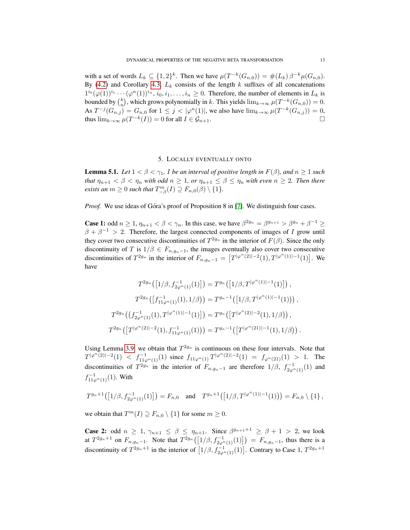with a set of words  $L_k \subseteq \{1,2\}^k$ . Then we have  $\mu(T^{-k}(G_{n,0})) = \#(L_k) \beta^{-k} \mu(G_{n,0})$ . By [\(4.2\)](#page-11-1) and Corollary [4.3,](#page-10-1)  $L_k$  consists of the length k suffixes of all concatenations  $1^{i_0}(\varphi(1))^{i_1}\cdots(\varphi^n(1))^{i_n}$ ,  $i_0, i_1, \ldots, i_n \geq 0$ . Therefore, the number of elements in  $L_k$  is bounded by  $\binom{k}{n}$ , which grows polynomially in k. This yields  $\lim_{k\to\infty}\mu(T^{-k}(G_{n,0}))=0$ . As  $T^{-j}(G_{n,j}) = G_{n,0}$  for  $1 \le j < |\varphi^n(1)|$ , we also have  $\lim_{k \to \infty} \mu(T^{-k}(G_{n,j})) = 0$ , thus  $\lim_{k\to\infty}\mu(T^{-k}(I))=0$  for all  $I\in\mathcal{G}_{n+1}$ .

# 5. LOCALLY EVENTUALLY ONTO

<span id="page-12-1"></span><span id="page-12-0"></span>**Lemma 5.1.** *Let*  $1 < \beta < \gamma_1$ , *I be an interval of positive length in*  $F(\beta)$ *, and*  $n \ge 1$  *such that*  $\eta_{n+1} < \beta < \eta_n$  *with odd*  $n \geq 1$ *, or*  $\eta_{n+1} \leq \beta \leq \eta_n$  *with even*  $n \geq 2$ *. Then there exists an*  $m \geq 0$  *such that*  $T_{-\beta}^m(I) \supseteq F_{n,0}(\beta) \setminus \{1\}$ *.* 

*Proof.* We use ideas of Góra's proof of Proposition 8 in [\[7\]](#page-16-0). We distinguish four cases.

**Case 1:** odd  $n \ge 1$ ,  $\eta_{n+1} < \beta < \gamma_n$ . In this case, we have  $\beta^{2g_n} = \beta^{g_{n+1}} > \beta^{g_n} + \beta^{-1} \ge$  $\beta + \beta^{-1} > 2$ . Therefore, the largest connected components of images of I grow until they cover two consecutive discontinuities of  $T^{2g_n}$  in the interior of  $F(\beta)$ . Since the only discontinuity of T is  $1/\beta \in F_{n,g_n-1}$ , the images eventually also cover two consecutive discontinuities of  $T^{2g_n}$  in the interior of  $F_{n,g_n-1} = \left[ T^{|\varphi^n(2)|-2}(1), T^{|\varphi^n(1)|-1}(1) \right]$ . We have

$$
T^{2g_n}([1/\beta, f_{2\varphi^{n}(1)}^{-1}(1)]) = T^{g_n}([1/\beta, T^{|\varphi^{n}(1)|-1}(1)]) ,
$$
  

$$
T^{2g_n}([f_{11\varphi^{n}(1)}^{-1}(1), 1/\beta)) = T^{g_n-1}([1/\beta, T^{|\varphi^{n}(1)|-1}(1))) ,
$$
  

$$
T^{2g_n}((f_{2\varphi^{n}(1)}^{-1}(1), T^{|\varphi^{n}(1)|-1}(1)]) = T^{g_n}([T^{|\varphi^{n}(2)|-2}(1), 1/\beta)) ,
$$
  

$$
T^{2g_n}([T^{|\varphi^{n}(2)|-2}(1), f_{11\varphi^{n}(1)}^{-1}(1)]) = T^{g_n-1}([T^{|\varphi^{n}(21)|-1}(1), 1/\beta)) .
$$

Using Lemma [3.9,](#page-7-0) we obtain that  $T^{2g_n}$  is continuous on these four intervals. Note that  $T^{|\varphi^n(2)|-2}(1) < f_{11\varphi^n(1)}^{-1}(1)$  since  $f_{11\varphi^n(1)}T^{|\varphi^n(2)|-2}(1) = f_{\varphi^n(21)}(1) > 1$ . The discontinuities of  $T^{2g_n}$  in the interior of  $F_{n,g_n-1}$  are therefore  $1/\beta$ ,  $f_{2\varphi^n(1)}^{-1}(1)$  and  $f_{11\varphi^{n}(1)}^{-1}(1)$ . With

$$
T^{g_n+1}([1/\beta, f_{2\varphi^n(1)}^{-1}(1)]) = F_{n,0} \text{ and } T^{g_n+1}([1/\beta, T^{|\varphi^n(1)|-1}(1))) = F_{n,0} \setminus \{1\},\
$$

we obtain that  $T^m(I) \supseteq F_{n,0} \setminus \{1\}$  for some  $m \ge 0$ .

**Case 2:** odd  $n \geq 1$ ,  $\gamma_{n+1} \leq \beta \leq \eta_{n+1}$ . Since  $\beta^{g_{n+1}+1} \geq \beta + 1 > 2$ , we look at  $T^{2g_n+1}$  on  $F_{n,g_n-1}$ . Note that  $T^{2g_n}([1/\beta, f_{2\varphi^{n}(1)}^{-1}(1)]) = F_{n,g_n-1}$ , thus there is a discontinuity of  $T^{2g_n+1}$  in the interior of  $[1/\beta, f_{2\varphi^n(1)}^{-1}(1)]$ . Contrary to Case 1,  $T^{2g_n+1}$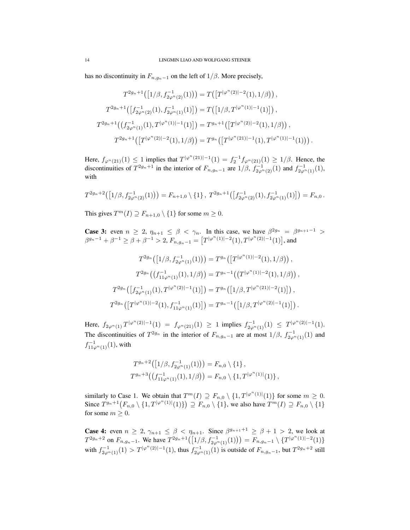has no discontinuity in  $F_{n,g_n-1}$  on the left of  $1/\beta$ . More precisely,

$$
T^{2g_n+1}([1/\beta, f_{2\varphi^n(2)}^{-1}(1))) = T([T^{|\varphi^n(2)|-2}(1), 1/\beta)),
$$
  
\n
$$
T^{2g_n+1}([f_{2\varphi^n(2)}^{-1}(1), f_{2\varphi^n(1)}^{-1}(1)]) = T([1/\beta, T^{|\varphi^n(1)|-1}(1)]),
$$
  
\n
$$
T^{2g_n+1}((f_{2\varphi^n(1)}^{-1}(1), T^{|\varphi^n(1)|-1}(1)]) = T^{g_n+1}([T^{|\varphi^n(2)|-2}(1), 1/\beta)),
$$
  
\n
$$
T^{2g_n+1}([T^{|\varphi^n(2)|-2}(1), 1/\beta)) = T^{g_n}([T^{|\varphi^n(21)|-1}(1), T^{|\varphi^n(1)|-1}(1)))
$$

Here,  $f_{\varphi^{n}(21)}(1) \leq 1$  implies that  $T^{|\varphi^{n}(21)|-1}(1) = f_{2}^{-1} f_{\varphi^{n}(21)}(1) \geq 1/\beta$ . Hence, the discontinuities of  $T^{2g_n+1}$  in the interior of  $F_{n,g_n-1}$  are  $1/\beta$ ,  $f_{2\varphi^{n}(2)}^{-1}(1)$  and  $f_{2\varphi^{n}(1)}^{-1}(1)$ , with

$$
T^{2g_n+2}([1/\beta, f_{2\varphi^n(2)}^{-1}(1))) = F_{n+1,0} \setminus \{1\}, \ T^{2g_n+1}([f_{2\varphi^n(2)}^{-1}(1), f_{2\varphi^n(1)}^{-1}(1)]) = F_{n,0}.
$$

This gives  $T^m(I) \supseteq F_{n+1,0} \setminus \{1\}$  for some  $m \ge 0$ .

**Case 3:** even  $n \geq 2$ ,  $\eta_{n+1} \leq \beta < \gamma_n$ . In this case, we have  $\beta^{2g_n} = \beta^{g_{n+1}-1} >$  $\beta^{g_n-1}+\beta^{-1}\geq \beta+\beta^{-1}>2,$   $F_{n,g_n-1}=\big[T^{|\varphi^n(1)|-2}(1),T^{|\varphi^n(2)|-1}(1)\big],$  and

$$
T^{2g_n}(\left[1/\beta, f_{2\varphi^n(1)}^{-1}(1)\right)) = T^{g_n}\left(\left[T^{|\varphi^n(1)|-2}(1), 1/\beta\right)\right),
$$
  
\n
$$
T^{2g_n}\left(\left(f_{11\varphi^n(1)}^{-1}(1), 1/\beta\right)\right) = T^{g_n-1}\left(\left(T^{|\varphi^n(1)|-2}(1), 1/\beta\right)\right),
$$
  
\n
$$
T^{2g_n}\left(\left[f_{2\varphi^n(1)}^{-1}(1), T^{|\varphi^n(2)|-1}(1)\right]\right) = T^{g_n}\left(\left[1/\beta, T^{|\varphi^n(21)|-2}(1)\right]\right),
$$
  
\n
$$
T^{2g_n}\left(\left[T^{|\varphi^n(1)|-2}(1), f_{11\varphi^n(1)}^{-1}(1)\right]\right) = T^{g_n-1}\left(\left[1/\beta, T^{|\varphi^n(2)|-1}(1)\right]\right).
$$

Here,  $f_{2\varphi^n(1)}T^{|\varphi^n(2)|-1}(1) = f_{\varphi^n(21)}(1) \ge 1$  implies  $f_{2\varphi^n(1)}^{-1}(1) \le T^{|\varphi^n(2)|-1}(1)$ . The discontinuities of  $T^{2g_n}$  in the interior of  $F_{n,g_n-1}$  are at most  $1/\beta$ ,  $f_{2\varphi^{n}(1)}^{-1}(1)$  and  $f_{11\varphi^{n}(1)}^{-1}(1)$ , with

$$
T^{g_n+2}([1/\beta, f_{2\varphi^n(1)}^{-1}(1))) = F_{n,0} \setminus \{1\},
$$
  

$$
T^{g_n+3}((f_{11\varphi^n(1)}^{-1}(1), 1/\beta)) = F_{n,0} \setminus \{1, T^{|\varphi^n(1)|}(1)\},
$$

similarly to Case 1. We obtain that  $T^{m}(I) \supseteq F_{n,0} \setminus \{1, T^{|\varphi^{n}(1)|}(1)\}$  for some  $m \geq 0$ . Since  $T^{g_n+1}(F_{n,0}\setminus\{1,T^{|\varphi^n(1)|}(1)\})\supseteq F_{n,0}\setminus\{1\}$ , we also have  $T^m(I)\supseteq F_{n,0}\setminus\{1\}$ for some  $m > 0$ .

**Case 4:** even  $n \geq 2$ ,  $\gamma_{n+1} \leq \beta < \eta_{n+1}$ . Since  $\beta^{g_{n+1}+1} \geq \beta + 1 > 2$ , we look at  $T^{2g_n+2}$  on  $F_{n,g_n-1}$ . We have  $T^{2g_n+1}([1/\beta, f_{2\varphi^n(1)}^{-1}(1))) = F_{n,g_n-1} \setminus \{T^{|\varphi^n(1)|-2}(1)\}$ with  $f_{2\varphi^{n}(1)}^{-1}(1) > T^{|\varphi^{n}(2)|-1}(1)$ , thus  $f_{2\varphi^{n}(1)}^{-1}(1)$  is outside of  $F_{n,g_n-1}$ , but  $T^{2g_n+2}$  still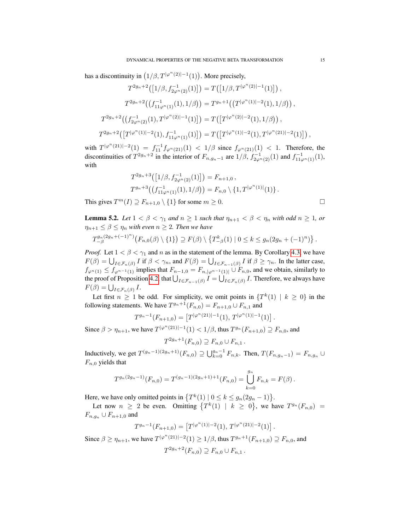has a discontinuity in  $(1/\beta, T^{|\varphi^n(2)|-1}(1))$ . More precisely,

$$
T^{2g_n+2}([1/\beta, f_{2\varphi^n(2)}^{-1}(1)]) = T([1/\beta, T^{|\varphi^n(2)|-1}(1)]) ,
$$
  
\n
$$
T^{2g_n+2}((f_{11\varphi^n(1)}^{-1}(1), 1/\beta)) = T^{g_n+1}((T^{|\varphi^n(1)|-2}(1), 1/\beta)) ,
$$
  
\n
$$
T^{2g_n+2}((f_{2\varphi^n(2)}^{-1}(1), T^{|\varphi^n(2)|-1}(1)]) = T([T^{|\varphi^n(2)|-2}(1), 1/\beta)) ,
$$
  
\n
$$
T^{2g_n+2}([T^{|\varphi^n(1)|-2}(1), f_{11\varphi^n(1)}^{-1}(1)]) = T([T^{|\varphi^n(1)|-2}(1), T^{|\varphi^n(21)|-2}(1)]) ,
$$

with  $T^{|\varphi^n(21)|-2}(1) = f_{11}^{-1}f_{\varphi^n(21)}(1) < 1/\beta$  since  $f_{\varphi^n(21)}(1) < 1$ . Therefore, the discontinuities of  $T^{2g_n+2}$  in the interior of  $F_{n,g_n-1}$  are  $1/\beta$ ,  $f_{2\varphi^{n}(2)}^{-1}(1)$  and  $f_{11\varphi^{n}(1)}^{-1}(1)$ , with

$$
T^{2g_n+3}([1/\beta, f_{2\varphi^n(2)}^{-1}(1)]) = F_{n+1,0},
$$
  
\n
$$
T^{g_n+3}((f_{11\varphi^n(1)}^{-1}(1), 1/\beta)) = F_{n,0} \setminus \{1, T^{|\varphi^n(1)|}(1)\}.
$$

This gives  $T^m(I) \supseteq F_{n+1,0} \setminus \{1\}$  for some  $m \ge 0$ .

<span id="page-14-0"></span>**Lemma 5.2.** Let  $1 < \beta < \gamma_1$  and  $n \geq 1$  such that  $\eta_{n+1} < \beta < \eta_n$  with odd  $n \geq 1$ , or  $\eta_{n+1} \leq \beta \leq \eta_n$  *with even*  $n \geq 2$ *. Then we have* 

$$
T_{-\beta}^{g_n(2g_n + (-1)^n)}(F_{n,0}(\beta) \setminus \{1\}) \supseteq F(\beta) \setminus \{T_{-\beta}^k(1) \mid 0 \leq k \leq g_n(2g_n + (-1)^n)\}.
$$

*Proof.* Let  $1 < \beta < \gamma_1$  and n as in the statement of the lemma. By Corollary [4.3,](#page-10-1) we have  $F(\beta) = \bigcup_{I \in \mathcal{F}_n(\beta)} I$  if  $\beta < \gamma_n$ , and  $F(\beta) = \bigcup_{I \in \mathcal{F}_{n-1}(\beta)} I$  if  $\beta \geq \gamma_n$ . In the latter case,  $f_{\varphi^{n}(1)} \leq f_{\varphi^{n-1}(1)}$  implies that  $F_{n-1,0} = F_{n,|\varphi^{n-1}(1)|} \cup F_{n,0}$ , and we obtain, similarly to the proof of Proposition [4.2,](#page-8-8) that  $\bigcup_{I \in \mathcal{F}_{n-1}(\beta)} I = \bigcup_{I \in \mathcal{F}_n(\beta)} I$ . Therefore, we always have  $F(\beta) = \bigcup_{I \in \mathcal{F}_n(\beta)} I.$ 

Let first  $n \geq 1$  be odd. For simplicity, we omit points in  $\{T^k(1) \mid k \geq 0\}$  in the following statements. We have  $T^{g_n+1}(F_{n,0}) = F_{n+1,0} \cup F_{n,1}$  and

$$
T^{g_n-1}(F_{n+1,0}) = [T^{|\varphi^n(21)|-1}(1), T^{|\varphi^n(1)|-1}(1)].
$$

Since  $\beta > \eta_{n+1}$ , we have  $T^{|\varphi^n(21)|-1}(1) < 1/\beta$ , thus  $T^{g_n}(F_{n+1,0}) \supseteq F_{n,0}$ , and

$$
F^{2g_n+1}(F_{n,0}) \supseteq F_{n,0} \cup F_{n,1}.
$$

Inductively, we get  $T^{(g_n-1)(2g_n+1)}(F_{n,0}) \supseteq \bigcup_{k=0}^{g_n-1} F_{n,k}$ . Then,  $T(F_{n,g_n-1}) = F_{n,g_n}$ ∪  $F_{n,0}$  yields that

$$
T^{g_n(2g_n-1)}(F_{n,0}) = T^{(g_n-1)(2g_n+1)+1}(F_{n,0}) = \bigcup_{k=0}^{g_n} F_{n,k} = F(\beta).
$$

Here, we have only omitted points in  $\{T^k(1) \mid 0 \le k \le g_n(2g_n - 1)\}.$ 

T

Let now  $n \geq 2$  be even. Omitting  $\{T^k(1) \mid k \geq 0\}$ , we have  $T^{g_n}(F_{n,0}) =$  $F_{n,g_n} \cup F_{n+1,0}$  and

$$
T^{g_n-1}(F_{n+1,0}) = [T^{|\varphi^n(1)|-2}(1), T^{|\varphi^n(21)|-2}(1)].
$$

Since  $\beta \ge \eta_{n+1}$ , we have  $T^{|\varphi^n(21)|-2}(1) \ge 1/\beta$ , thus  $T^{g_n+1}(F_{n+1,0}) \supseteq F_{n,0}$ , and  $T^{2g_n+2}(F_{n,0}) \supseteq F_{n,0} \cup F_{n,1}$ .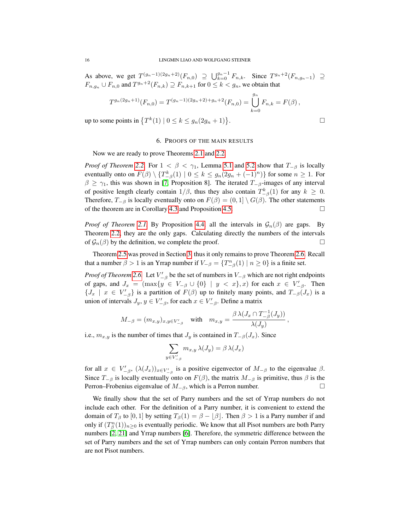As above, we get  $T^{(g_n-1)(2g_n+2)}(F_{n,0}) \supseteq \bigcup_{k=0}^{g_n-1} F_{n,k}$ . Since  $T^{g_n+2}(F_{n,g_n-1}) \supseteq$  $F_{n,g_n} \cup F_{n,0}$  and  $T^{g_n+2}(F_{n,k}) \supseteq F_{n,k+1}$  for  $0 \le k < g_n$ , we obtain that

$$
T^{g_n(2g_n+1)}(F_{n,0}) = T^{(g_n-1)(2g_n+2)+g_n+2}(F_{n,0}) = \bigcup_{k=0}^{g_n} F_{n,k} = F(\beta),
$$

up to some points in  $\{T^k(1) | 0 \le k \le g_n(2g_n+1)\}\$ 

#### 6. PROOFS OF THE MAIN RESULTS

<span id="page-15-0"></span>Now we are ready to prove Theorems [2.1](#page-3-0) and [2.2.](#page-3-2)

*Proof of Theorem [2.2.](#page-3-2)* For  $1 < \beta < \gamma_1$ , Lemma [5.1](#page-12-1) and [5.2](#page-14-0) show that  $T_{-\beta}$  is locally eventually onto on  $F(\beta) \setminus \{T_{-\beta}^k(1) \mid 0 \leq k \leq g_n(2g_n + (-1)^n)\}$  for some  $n \geq 1$ . For  $\beta \geq \gamma_1$ , this was shown in [\[7,](#page-16-0) Proposition 8]. The iterated  $T_{-\beta}$ -images of any interval of positive length clearly contain  $1/\beta$ , thus they also contain  $T_{-\beta}^k(1)$  for any  $k \geq 0$ . Therefore,  $T_{-\beta}$  is locally eventually onto on  $F(\beta) = (0,1] \setminus G(\beta)$ . The other statements of the theorem are in Corollary [4.3](#page-10-1) and Proposition [4.5.](#page-11-2)

*Proof of Theorem [2.1.](#page-3-0)* By Proposition [4.4,](#page-11-3) all the intervals in  $\mathcal{G}_n(\beta)$  are gaps. By Theorem [2.2,](#page-3-2) they are the only gaps. Calculating directly the numbers of the intervals of  $\mathcal{G}_n(\beta)$  by the definition, we complete the proof.

Theorem [2.5](#page-3-1) was proved in Section [3,](#page-4-0) thus it only remains to prove Theorem [2.6.](#page-4-5) Recall that a number  $\beta > 1$  is an Yrrap number if  $V_{-\beta} = \{T_{-\beta}^n(1) \mid n \ge 0\}$  is a finite set.

*Proof of Theorem* [2.6.](#page-4-5) Let  $V'_{-\beta}$  be the set of numbers in  $V_{-\beta}$  which are not right endpoints of gaps, and  $J_x = (\max\{y \in V_{-\beta} \cup \{0\} \mid y < x\}, x)$  for each  $x \in V'_{-\beta}$ . Then  $\{J_x \mid x \in V'_{-\beta}\}\$ is a partition of  $F(\beta)$  up to finitely many points, and  $T_{-\beta}(J_x)$  is a union of intervals  $J_y, y \in V'_{-\beta}$ , for each  $x \in V'_{-\beta}$ . Define a matrix

$$
M_{-\beta}=(m_{x,y})_{x,y\in V'_{-\beta}}\quad\text{with}\quad m_{x,y}=\frac{\beta\,\lambda(J_x\cap T_{-\beta}^{-1}(J_y))}{\lambda(J_y)}
$$

i.e.,  $m_{x,y}$  is the number of times that  $J_y$  is contained in  $T_{-\beta}(J_x)$ . Since

 $y$ 

$$
\sum_{\in V'_{-\beta}} m_{x,y} \, \lambda(J_y) = \beta \, \lambda(J_x)
$$

for all  $x \in V'_{-\beta}$ ,  $(\lambda(J_x))_{x \in V'_{-\beta}}$  is a positive eigenvector of  $M_{-\beta}$  to the eigenvalue  $\beta$ . Since  $T_{-\beta}$  is locally eventually onto on  $F(\beta)$ , the matrix  $M_{-\beta}$  is primitive, thus  $\beta$  is the Perron–Frobenius eigenvalue of  $M_{-\beta}$ , which is a Perron number.

We finally show that the set of Parry numbers and the set of Yrrap numbers do not include each other. For the definition of a Parry number, it is convenient to extend the domain of  $T_\beta$  to  $[0, 1]$  by setting  $T_\beta(1) = \beta - \lfloor \beta \rfloor$ . Then  $\beta > 1$  is a Parry number if and only if  $(T_\beta^n(1))_{n\geq 0}$  is eventually periodic. We know that all Pisot numbers are both Parry numbers [\[2,](#page-16-7) [21\]](#page-17-13) and Yrrap numbers [\[6\]](#page-16-8). Therefore, the symmetric difference between the set of Parry numbers and the set of Yrrap numbers can only contain Perron numbers that are not Pisot numbers.

$$
\qquad \qquad \Box
$$

,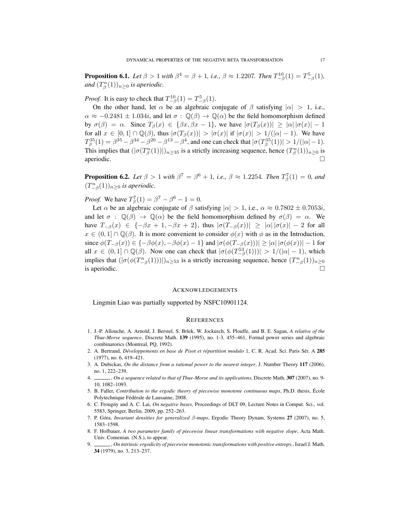**Proposition 6.1.** Let  $\beta > 1$  with  $\beta^4 = \beta + 1$ , i.e.,  $\beta \approx 1.2207$ . Then  $T_{-\beta}^{10}(1) = T_{-\beta}^5(1)$ , and  $(T_{\beta}^n(1))_{n\geq 0}$  *is aperiodic.* 

*Proof.* It is easy to check that  $T_{-\beta}^{10}(1) = T_{-\beta}^{5}(1)$ .

On the other hand, let  $\alpha$  be an algebraic conjugate of  $\beta$  satisfying  $|\alpha| > 1$ , i.e.,  $\alpha \approx -0.2481 \pm 1.034i$ , and let  $\sigma : \mathbb{Q}(\beta) \to \mathbb{Q}(\alpha)$  be the field homomorphism defined by  $\sigma(\beta) = \alpha$ . Since  $T_{\beta}(x) \in {\beta x, \beta x - 1}$ , we have  $|\sigma(T_{\beta}(x))| \geq |\alpha| |\sigma(x)| - 1$ for all  $x \in [0,1] \cap \mathbb{Q}(\beta)$ , thus  $|\sigma(T_\beta(x))| > |\sigma(x)|$  if  $|\sigma(x)| > 1/(|\alpha|-1)$ . We have  $T_{\beta}^{35}(1) = \beta^{35} - \beta^{34} - \beta^{26} - \beta^{13} - \beta^{4}$ , and one can check that  $|\sigma(T_{\beta}^{35}(1))| > 1/(|\alpha| - 1)$ . This implies that  $(|\sigma(T_{\beta}^n(1))|)_{n\geq 35}$  is a strictly increasing sequence, hence  $(T_{\beta}^n(1))_{n\geq 0}$  is aperiodic.

**Proposition 6.2.** Let  $\beta > 1$  with  $\beta^7 = \beta^6 + 1$ , i.e.,  $\beta \approx 1.2254$ . Then  $T_{\beta}^7(1) = 0$ , and  $(T_{-\beta}^n(1))_{n\geq 0}$  *is aperiodic.* 

*Proof.* We have  $T_{\beta}^{7}(1) = \beta^{7} - \beta^{6} - 1 = 0$ .

Let  $\alpha$  be an algebraic conjugate of  $\beta$  satisfying  $|\alpha| > 1$ , i.e.,  $\alpha \approx 0.7802 \pm 0.7053i$ , and let  $\sigma : \mathbb{Q}(\beta) \to \mathbb{Q}(\alpha)$  be the field homomorphism defined by  $\sigma(\beta) = \alpha$ . We have  $T_{-\beta}(x) \in \{-\beta x + 1, -\beta x + 2\}$ , thus  $|\sigma(T_{-\beta}(x))| \geq |\alpha| |\sigma(x)| - 2$  for all  $x \in (0,1] \cap \mathbb{Q}(\beta)$ . It is more convenient to consider  $\phi(x)$  with  $\phi$  as in the Introduction, since  $\phi(T_{-\beta}(x)) \in \{-\beta \phi(x), -\beta \phi(x) - 1\}$  and  $|\sigma(\phi(T_{-\beta}(x)))| \geq |\alpha| |\sigma(\phi(x))| - 1$  for all  $x \in (0,1] \cap \mathbb{Q}(\beta)$ . Now one can check that  $|\sigma(\phi(T_{-\beta}^{53}(1)))| > 1/(|\alpha|-1)$ , which implies that  $(|\sigma(\phi(T_{-\beta}^n(1)))|)_{n\geq 53}$  is a strictly increasing sequence, hence  $(T_{-\beta}^n(1))_{n\geq 0}$ is aperiodic.  $\Box$ 

#### ACKNOWLEDGEMENTS

Lingmin Liao was partially supported by NSFC10901124.

#### **REFERENCES**

- <span id="page-16-3"></span>1. J.-P. Allouche, A. Arnold, J. Berstel, S. Brlek, W. Jockusch, S. Plouffe, and B. E. Sagan, *A relative of the Thue-Morse sequence*, Discrete Math. 139 (1995), no. 1-3, 455–461, Formal power series and algebraic combinatorics (Montreal, PQ, 1992).
- <span id="page-16-7"></span>2. A. Bertrand, *Développements en base de Pisot et répartition modulo* 1, C. R. Acad. Sci. Paris Sér. A 285 (1977), no. 6, 419–421.
- <span id="page-16-4"></span>3. A. Dubickas, *On the distance from a rational power to the nearest integer*, J. Number Theory 117 (2006), no. 1, 222–239.
- <span id="page-16-5"></span>4. , *On a sequence related to that of Thue-Morse and its applications*, Discrete Math. 307 (2007), no. 9- 10, 1082–1093.
- <span id="page-16-1"></span>5. B. Faller, *Contribution to the ergodic theory of piecewise monotone continuous maps*, Ph.D. thesis, Ecole ´ Polytechnique Fédérale de Lausanne, 2008.
- <span id="page-16-8"></span>6. C. Frougny and A. C. Lai, *On negative bases*, Proceedings of DLT 09, Lecture Notes in Comput. Sci., vol. 5583, Springer, Berlin, 2009, pp. 252–263.
- <span id="page-16-0"></span>7. P. Góra, *Invariant densities for generalized* β-maps, Ergodic Theory Dynam. Systems 27 (2007), no. 5, 1583–1598.
- <span id="page-16-6"></span>8. F. Hofbauer, *A two parameter family of piecewise linear transformations with negative slope*, Acta Math. Univ. Comenian. (N.S.), to appear.
- <span id="page-16-2"></span>9. , *On intrinsic ergodicity of piecewise monotonic transformations with positive entropy.*, Israel J. Math. 34 (1979), no. 3, 213–237.